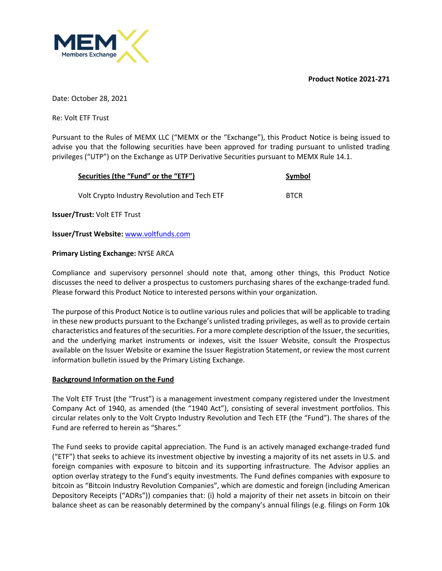**Product Notice 2021-271**



Date: October 28, 2021

Re: Volt ETF Trust

Pursuant to the Rules of MEMX LLC ("MEMX or the "Exchange"), this Product Notice is being issued to advise you that the following securities have been approved for trading pursuant to unlisted trading privileges ("UTP") on the Exchange as UTP Derivative Securities pursuant to MEMX Rule 14.1.

| Securities (the "Fund" or the "ETF")         | Symbol      |
|----------------------------------------------|-------------|
| Volt Crypto Industry Revolution and Tech ETF | <b>BTCR</b> |

**Issuer/Trust:** Volt ETF Trust

**Issuer/Trust Website:** www.voltfunds.com

### **Primary Listing Exchange:** NYSE ARCA

Compliance and supervisory personnel should note that, among other things, this Product Notice discusses the need to deliver a prospectus to customers purchasing shares of the exchange-traded fund. Please forward this Product Notice to interested persons within your organization.

The purpose of this Product Notice is to outline various rules and policies that will be applicable to trading in these new products pursuant to the Exchange's unlisted trading privileges, as well as to provide certain characteristics and features of the securities. For a more complete description of the Issuer, the securities, and the underlying market instruments or indexes, visit the Issuer Website, consult the Prospectus available on the Issuer Website or examine the Issuer Registration Statement, or review the most current information bulletin issued by the Primary Listing Exchange.

## **Background Information on the Fund**

The Volt ETF Trust (the "Trust") is a management investment company registered under the Investment Company Act of 1940, as amended (the "1940 Act"), consisting of several investment portfolios. This circular relates only to the Volt Crypto Industry Revolution and Tech ETF (the "Fund"). The shares of the Fund are referred to herein as "Shares."

The Fund seeks to provide capital appreciation. The Fund is an actively managed exchange-traded fund ("ETF") that seeks to achieve its investment objective by investing a majority of its net assets in U.S. and foreign companies with exposure to bitcoin and its supporting infrastructure. The Advisor applies an option overlay strategy to the Fund's equity investments. The Fund defines companies with exposure to bitcoin as "Bitcoin Industry Revolution Companies", which are domestic and foreign (including American Depository Receipts ("ADRs")) companies that: (i) hold a majority of their net assets in bitcoin on their balance sheet as can be reasonably determined by the company's annual filings (e.g. filings on Form 10k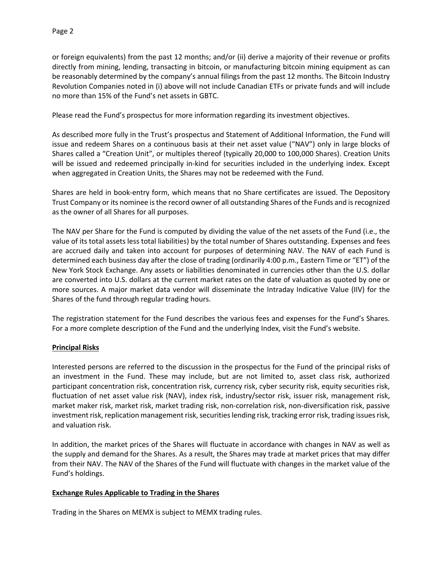or foreign equivalents) from the past 12 months; and/or (ii) derive a majority of their revenue or profits directly from mining, lending, transacting in bitcoin, or manufacturing bitcoin mining equipment as can be reasonably determined by the company's annual filings from the past 12 months. The Bitcoin Industry Revolution Companies noted in (i) above will not include Canadian ETFs or private funds and will include no more than 15% of the Fund's net assets in GBTC.

Please read the Fund's prospectus for more information regarding its investment objectives.

As described more fully in the Trust's prospectus and Statement of Additional Information, the Fund will issue and redeem Shares on a continuous basis at their net asset value ("NAV") only in large blocks of Shares called a "Creation Unit", or multiples thereof (typically 20,000 to 100,000 Shares). Creation Units will be issued and redeemed principally in-kind for securities included in the underlying index. Except when aggregated in Creation Units, the Shares may not be redeemed with the Fund.

Shares are held in book-entry form, which means that no Share certificates are issued. The Depository Trust Company or its nominee is the record owner of all outstanding Shares of the Funds and is recognized as the owner of all Shares for all purposes.

The NAV per Share for the Fund is computed by dividing the value of the net assets of the Fund (i.e., the value of its total assets less total liabilities) by the total number of Shares outstanding. Expenses and fees are accrued daily and taken into account for purposes of determining NAV. The NAV of each Fund is determined each business day after the close of trading (ordinarily 4:00 p.m., Eastern Time or "ET") of the New York Stock Exchange. Any assets or liabilities denominated in currencies other than the U.S. dollar are converted into U.S. dollars at the current market rates on the date of valuation as quoted by one or more sources. A major market data vendor will disseminate the Intraday Indicative Value (IIV) for the Shares of the fund through regular trading hours.

The registration statement for the Fund describes the various fees and expenses for the Fund's Shares. For a more complete description of the Fund and the underlying Index, visit the Fund's website.

## **Principal Risks**

Interested persons are referred to the discussion in the prospectus for the Fund of the principal risks of an investment in the Fund. These may include, but are not limited to, asset class risk, authorized participant concentration risk, concentration risk, currency risk, cyber security risk, equity securities risk, fluctuation of net asset value risk (NAV), index risk, industry/sector risk, issuer risk, management risk, market maker risk, market risk, market trading risk, non-correlation risk, non-diversification risk, passive investment risk, replication management risk, securities lending risk, tracking error risk, trading issues risk, and valuation risk.

In addition, the market prices of the Shares will fluctuate in accordance with changes in NAV as well as the supply and demand for the Shares. As a result, the Shares may trade at market prices that may differ from their NAV. The NAV of the Shares of the Fund will fluctuate with changes in the market value of the Fund's holdings.

## **Exchange Rules Applicable to Trading in the Shares**

Trading in the Shares on MEMX is subject to MEMX trading rules.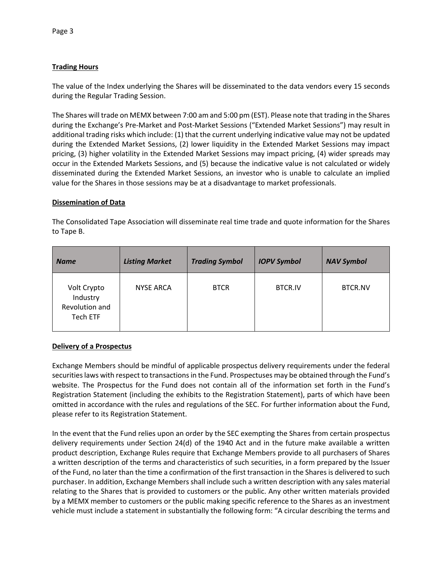# **Trading Hours**

The value of the Index underlying the Shares will be disseminated to the data vendors every 15 seconds during the Regular Trading Session.

The Shares will trade on MEMX between 7:00 am and 5:00 pm (EST). Please note that trading in the Shares during the Exchange's Pre-Market and Post-Market Sessions ("Extended Market Sessions") may result in additional trading risks which include: (1) that the current underlying indicative value may not be updated during the Extended Market Sessions, (2) lower liquidity in the Extended Market Sessions may impact pricing, (3) higher volatility in the Extended Market Sessions may impact pricing, (4) wider spreads may occur in the Extended Markets Sessions, and (5) because the indicative value is not calculated or widely disseminated during the Extended Market Sessions, an investor who is unable to calculate an implied value for the Shares in those sessions may be at a disadvantage to market professionals.

### **Dissemination of Data**

The Consolidated Tape Association will disseminate real time trade and quote information for the Shares to Tape B.

| <b>Name</b>                                           | <b>Listing Market</b> | <b>Trading Symbol</b> | <b>IOPV Symbol</b> | <b>NAV Symbol</b> |
|-------------------------------------------------------|-----------------------|-----------------------|--------------------|-------------------|
| Volt Crypto<br>Industry<br>Revolution and<br>Tech ETF | <b>NYSE ARCA</b>      | <b>BTCR</b>           | <b>BTCR.IV</b>     | <b>BTCR.NV</b>    |

## **Delivery of a Prospectus**

Exchange Members should be mindful of applicable prospectus delivery requirements under the federal securities laws with respect to transactions in the Fund. Prospectuses may be obtained through the Fund's website. The Prospectus for the Fund does not contain all of the information set forth in the Fund's Registration Statement (including the exhibits to the Registration Statement), parts of which have been omitted in accordance with the rules and regulations of the SEC. For further information about the Fund, please refer to its Registration Statement.

In the event that the Fund relies upon an order by the SEC exempting the Shares from certain prospectus delivery requirements under Section 24(d) of the 1940 Act and in the future make available a written product description, Exchange Rules require that Exchange Members provide to all purchasers of Shares a written description of the terms and characteristics of such securities, in a form prepared by the Issuer of the Fund, no later than the time a confirmation of the first transaction in the Shares is delivered to such purchaser. In addition, Exchange Members shall include such a written description with any sales material relating to the Shares that is provided to customers or the public. Any other written materials provided by a MEMX member to customers or the public making specific reference to the Shares as an investment vehicle must include a statement in substantially the following form: "A circular describing the terms and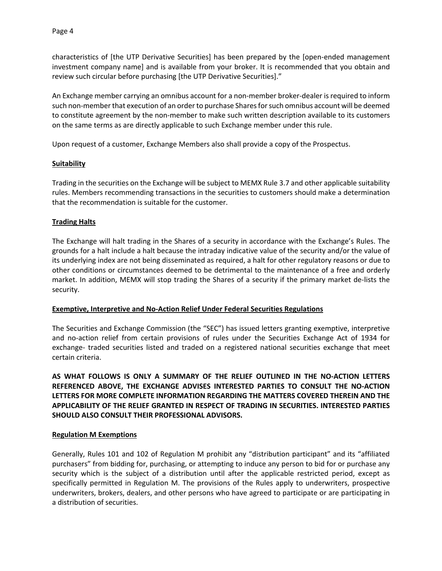characteristics of [the UTP Derivative Securities] has been prepared by the [open-ended management investment company name] and is available from your broker. It is recommended that you obtain and review such circular before purchasing [the UTP Derivative Securities]."

An Exchange member carrying an omnibus account for a non-member broker-dealer is required to inform such non-member that execution of an order to purchase Shares for such omnibus account will be deemed to constitute agreement by the non-member to make such written description available to its customers on the same terms as are directly applicable to such Exchange member under this rule.

Upon request of a customer, Exchange Members also shall provide a copy of the Prospectus.

### **Suitability**

Trading in the securities on the Exchange will be subject to MEMX Rule 3.7 and other applicable suitability rules. Members recommending transactions in the securities to customers should make a determination that the recommendation is suitable for the customer.

## **Trading Halts**

The Exchange will halt trading in the Shares of a security in accordance with the Exchange's Rules. The grounds for a halt include a halt because the intraday indicative value of the security and/or the value of its underlying index are not being disseminated as required, a halt for other regulatory reasons or due to other conditions or circumstances deemed to be detrimental to the maintenance of a free and orderly market. In addition, MEMX will stop trading the Shares of a security if the primary market de-lists the security.

#### **Exemptive, Interpretive and No-Action Relief Under Federal Securities Regulations**

The Securities and Exchange Commission (the "SEC") has issued letters granting exemptive, interpretive and no-action relief from certain provisions of rules under the Securities Exchange Act of 1934 for exchange- traded securities listed and traded on a registered national securities exchange that meet certain criteria.

**AS WHAT FOLLOWS IS ONLY A SUMMARY OF THE RELIEF OUTLINED IN THE NO-ACTION LETTERS REFERENCED ABOVE, THE EXCHANGE ADVISES INTERESTED PARTIES TO CONSULT THE NO-ACTION LETTERS FOR MORE COMPLETE INFORMATION REGARDING THE MATTERS COVERED THEREIN AND THE APPLICABILITY OF THE RELIEF GRANTED IN RESPECT OF TRADING IN SECURITIES. INTERESTED PARTIES SHOULD ALSO CONSULT THEIR PROFESSIONAL ADVISORS.**

#### **Regulation M Exemptions**

Generally, Rules 101 and 102 of Regulation M prohibit any "distribution participant" and its "affiliated purchasers" from bidding for, purchasing, or attempting to induce any person to bid for or purchase any security which is the subject of a distribution until after the applicable restricted period, except as specifically permitted in Regulation M. The provisions of the Rules apply to underwriters, prospective underwriters, brokers, dealers, and other persons who have agreed to participate or are participating in a distribution of securities.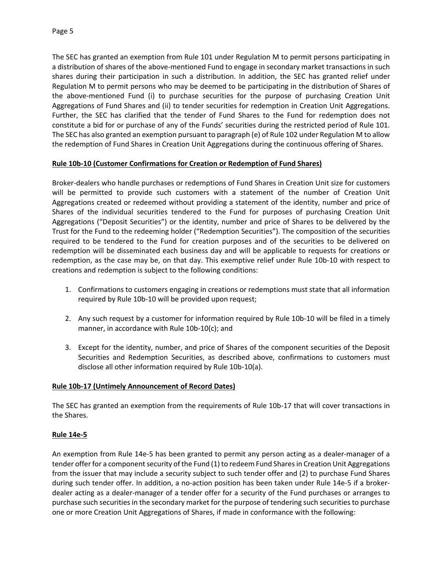The SEC has granted an exemption from Rule 101 under Regulation M to permit persons participating in a distribution of shares of the above-mentioned Fund to engage in secondary market transactions in such shares during their participation in such a distribution. In addition, the SEC has granted relief under Regulation M to permit persons who may be deemed to be participating in the distribution of Shares of the above-mentioned Fund (i) to purchase securities for the purpose of purchasing Creation Unit Aggregations of Fund Shares and (ii) to tender securities for redemption in Creation Unit Aggregations. Further, the SEC has clarified that the tender of Fund Shares to the Fund for redemption does not constitute a bid for or purchase of any of the Funds' securities during the restricted period of Rule 101. The SEC has also granted an exemption pursuant to paragraph (e) of Rule 102 under Regulation M to allow the redemption of Fund Shares in Creation Unit Aggregations during the continuous offering of Shares.

## **Rule 10b-10 (Customer Confirmations for Creation or Redemption of Fund Shares)**

Broker-dealers who handle purchases or redemptions of Fund Shares in Creation Unit size for customers will be permitted to provide such customers with a statement of the number of Creation Unit Aggregations created or redeemed without providing a statement of the identity, number and price of Shares of the individual securities tendered to the Fund for purposes of purchasing Creation Unit Aggregations ("Deposit Securities") or the identity, number and price of Shares to be delivered by the Trust for the Fund to the redeeming holder ("Redemption Securities"). The composition of the securities required to be tendered to the Fund for creation purposes and of the securities to be delivered on redemption will be disseminated each business day and will be applicable to requests for creations or redemption, as the case may be, on that day. This exemptive relief under Rule 10b-10 with respect to creations and redemption is subject to the following conditions:

- 1. Confirmations to customers engaging in creations or redemptions must state that all information required by Rule 10b-10 will be provided upon request;
- 2. Any such request by a customer for information required by Rule 10b-10 will be filed in a timely manner, in accordance with Rule 10b-10(c); and
- 3. Except for the identity, number, and price of Shares of the component securities of the Deposit Securities and Redemption Securities, as described above, confirmations to customers must disclose all other information required by Rule 10b-10(a).

## **Rule 10b-17 (Untimely Announcement of Record Dates)**

The SEC has granted an exemption from the requirements of Rule 10b-17 that will cover transactions in the Shares.

## **Rule 14e-5**

An exemption from Rule 14e-5 has been granted to permit any person acting as a dealer-manager of a tender offer for a component security of the Fund (1) to redeem Fund Shares in Creation Unit Aggregations from the issuer that may include a security subject to such tender offer and (2) to purchase Fund Shares during such tender offer. In addition, a no-action position has been taken under Rule 14e-5 if a brokerdealer acting as a dealer-manager of a tender offer for a security of the Fund purchases or arranges to purchase such securities in the secondary market for the purpose of tendering such securities to purchase one or more Creation Unit Aggregations of Shares, if made in conformance with the following: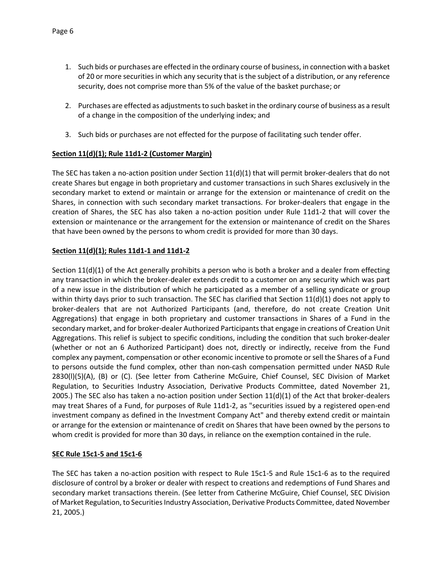- 1. Such bids or purchases are effected in the ordinary course of business, in connection with a basket of 20 or more securities in which any security that is the subject of a distribution, or any reference security, does not comprise more than 5% of the value of the basket purchase; or
- 2. Purchases are effected as adjustments to such basket in the ordinary course of business as a result of a change in the composition of the underlying index; and
- 3. Such bids or purchases are not effected for the purpose of facilitating such tender offer.

# **Section 11(d)(1); Rule 11d1-2 (Customer Margin)**

The SEC has taken a no-action position under Section  $11(d)(1)$  that will permit broker-dealers that do not create Shares but engage in both proprietary and customer transactions in such Shares exclusively in the secondary market to extend or maintain or arrange for the extension or maintenance of credit on the Shares, in connection with such secondary market transactions. For broker-dealers that engage in the creation of Shares, the SEC has also taken a no-action position under Rule 11d1-2 that will cover the extension or maintenance or the arrangement for the extension or maintenance of credit on the Shares that have been owned by the persons to whom credit is provided for more than 30 days.

# **Section 11(d)(1); Rules 11d1-1 and 11d1-2**

Section 11(d)(1) of the Act generally prohibits a person who is both a broker and a dealer from effecting any transaction in which the broker-dealer extends credit to a customer on any security which was part of a new issue in the distribution of which he participated as a member of a selling syndicate or group within thirty days prior to such transaction. The SEC has clarified that Section 11(d)(1) does not apply to broker-dealers that are not Authorized Participants (and, therefore, do not create Creation Unit Aggregations) that engage in both proprietary and customer transactions in Shares of a Fund in the secondary market, and for broker-dealer Authorized Participants that engage in creations of Creation Unit Aggregations. This relief is subject to specific conditions, including the condition that such broker-dealer (whether or not an 6 Authorized Participant) does not, directly or indirectly, receive from the Fund complex any payment, compensation or other economic incentive to promote or sell the Shares of a Fund to persons outside the fund complex, other than non-cash compensation permitted under NASD Rule 2830(l)(5)(A), (B) or (C). (See letter from Catherine McGuire, Chief Counsel, SEC Division of Market Regulation, to Securities Industry Association, Derivative Products Committee, dated November 21, 2005.) The SEC also has taken a no-action position under Section  $11(d)(1)$  of the Act that broker-dealers may treat Shares of a Fund, for purposes of Rule 11d1-2, as "securities issued by a registered open-end investment company as defined in the Investment Company Act" and thereby extend credit or maintain or arrange for the extension or maintenance of credit on Shares that have been owned by the persons to whom credit is provided for more than 30 days, in reliance on the exemption contained in the rule.

## **SEC Rule 15c1-5 and 15c1-6**

The SEC has taken a no-action position with respect to Rule 15c1-5 and Rule 15c1-6 as to the required disclosure of control by a broker or dealer with respect to creations and redemptions of Fund Shares and secondary market transactions therein. (See letter from Catherine McGuire, Chief Counsel, SEC Division of Market Regulation, to Securities Industry Association, Derivative Products Committee, dated November 21, 2005.)